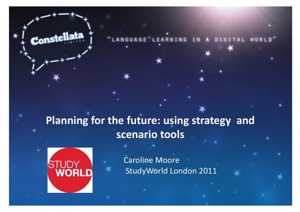#### Planning for the future: using strategy and **scenario'tools'**



Constellata

**Caroline Moore** StudyWorld London 2011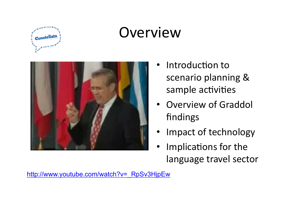

### **Overview**



- Introduction to scenario planning & sample activities
- **Overview of Graddol** findings)
- Impact of technology
- Implications for the language travel sector

http://www.youtube.com/watch?v=\_RpSv3HjpEw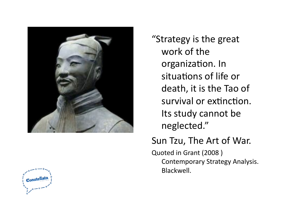

"Strategy is the great work of the organization. In situations of life or death, it is the Tao of survival or extinction. Its study cannot be neglected."))

#### Sun Tzu, The Art of War.

Quoted in Grant (2008) Contemporary Strategy Analysis. Blackwell.

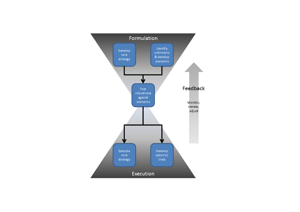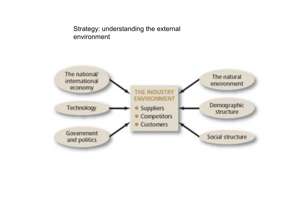

#### Strategy: understanding the external environment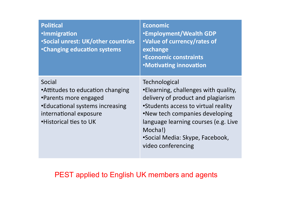| <b>Political</b><br><b>·Immigration</b><br><b>.Social unrest: UK/other countries</b><br><b>•Changing education systems</b>                                  | <b>Economic</b><br><b>.Employment/Wealth GDP</b><br>.Value of currency/rates of<br>exchange<br><b>*Economic constraints</b><br><b>.Motivating innovation</b>                                                                                                                     |
|-------------------------------------------------------------------------------------------------------------------------------------------------------------|----------------------------------------------------------------------------------------------------------------------------------------------------------------------------------------------------------------------------------------------------------------------------------|
| Social<br>•Attitudes to education changing<br>•Parents more engaged<br>•Educational systems increasing<br>international exposure<br>. Historical ties to UK | Technological<br>•Elearning, challenges with quality,<br>delivery of product and plagiarism<br>•Students access to virtual reality<br>.New tech companies developing<br>language learning courses (e.g. Live<br>Mocha!)<br>•Social Media: Skype, Facebook,<br>video conferencing |

#### PEST applied to English UK members and agents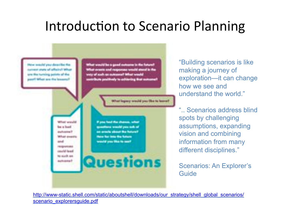#### Introduction to Scenario Planning

had legacy would you like to horrel

**Market Wall** be a load **Billulail dimension Josefall Street** to such an

least this chances, what

"Building scenarios is like making a journey of exploration—it can change how we see and understand the world."

".. Scenarios address blind spots by challenging assumptions, expanding vision and combining information from many different disciplines."

Scenarios: An Explorer's Guide

http://www-static.shell.com/static/aboutshell/downloads/our\_strategy/shell\_global\_scenarios/ scenario\_explorersquide.pdf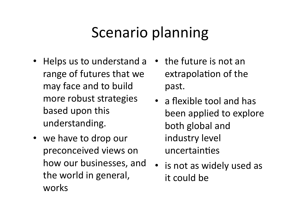# Scenario planning

- Helps us to understand a range of futures that we may face and to build more robust strategies based upon this understanding.)
- we have to drop our preconceived views on how our businesses, and the world in general, works
- $\cdot$  the future is not an extrapolation of the past.))
- a flexible tool and has been applied to explore both global and industry level uncertainties
- is not as widely used as it could be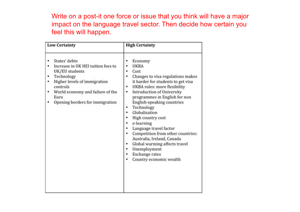Write on a post-it one force or issue that you think will have a major impact on the language travel sector. Then decide how certain you feel this will happen.

| <b>Low Certainty</b>                                                                                                                                                                                           | <b>High Certainty</b>                                                                                                                                                                                                                                                                                                                                                                                                                                                                                                              |
|----------------------------------------------------------------------------------------------------------------------------------------------------------------------------------------------------------------|------------------------------------------------------------------------------------------------------------------------------------------------------------------------------------------------------------------------------------------------------------------------------------------------------------------------------------------------------------------------------------------------------------------------------------------------------------------------------------------------------------------------------------|
| States' debts<br>Increase in UK HEI tuition fees to<br>UK/EU students<br>Technology<br>Higher levels of immigration<br>controls<br>World economy and failure of the<br>Euro<br>Opening borders for immigration | Economy<br><b>UKBA</b><br>Cost<br>Changes to visa regulations makes<br>it harder for students to get visa<br><b>UKBA</b> rules: more flexibility<br>۰<br><b>Introduction of University</b><br>٠<br>programmes in English for non<br>English-speaking countries<br>Technology<br>Globalisation<br>High country cost<br>e-learning<br>Language travel factor<br>Competition from other countries:<br>Australia, Ireland, Canada<br>Global warming affects travel<br>Unemployment<br><b>Exchange rates</b><br>Country economic wealth |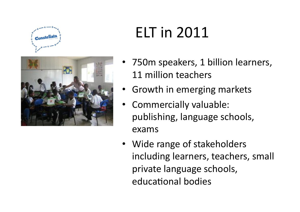



# **ELT** in 2011

- 750m speakers, 1 billion learners, 11 million teachers
- Growth in emerging markets
- Commercially valuable: publishing, language schools, exams))
- Wide range of stakeholders including learners, teachers, small private language schools, educational bodies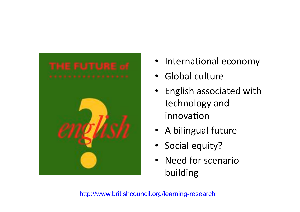

- International economy
- Global culture
- English associated with technology and innovation
- A bilingual future
- Social equity?
- Need for scenario building)

http://www.britishcouncil.org/learning-research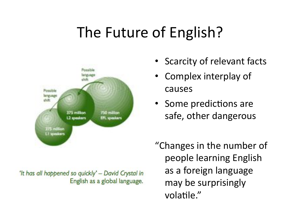# The Future of English?



'It has all happened so quickly' - David Crystal in English as a global language.

- Scarcity of relevant facts
- Complex interplay of causes)
- Some predictions are safe, other dangerous

"Changes in the number of people learning English as a foreign language may be surprisingly volatile."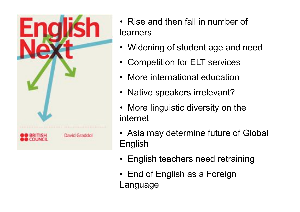

- Rise and then fall in number of learners
- Widening of student age and need
- Competition for ELT services
- More international education
- Native speakers irrelevant?
- More linguistic diversity on the internet
- Asia may determine future of Global English
- English teachers need retraining
- End of English as a Foreign Language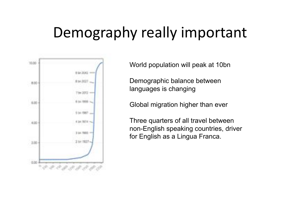## Demography really important



World population will peak at 10bn

Demographic balance between languages is changing

Global migration higher than ever

Three quarters of all travel between non-English speaking countries, driver for English as a Lingua Franca.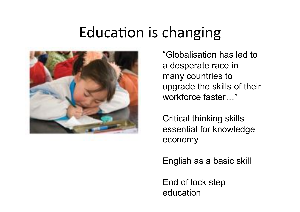#### Education is changing



"Globalisation has led to a desperate race in many countries to upgrade the skills of their workforce faster…"

Critical thinking skills essential for knowledge economy

English as a basic skill

End of lock step education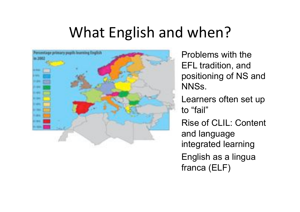# What English and when?



Problems with the EFL tradition, and positioning of NS and NNSs. Learners often set up to "fail" Rise of CLIL: Content

and language integrated learning

English as a lingua franca (ELF)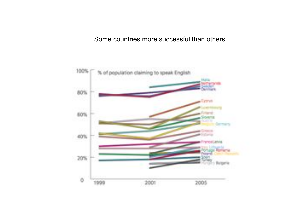Some countries more successful than others…

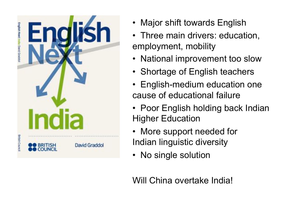

- Major shift towards English
- Three main drivers: education, employment, mobility
- National improvement too slow
- Shortage of English teachers
- English-medium education one cause of educational failure
- Poor English holding back Indian Higher Education
- More support needed for Indian linguistic diversity
- No single solution

Will China overtake India!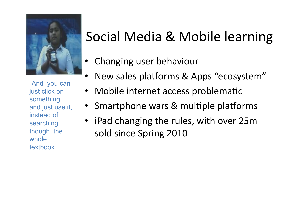

"And you can just click on something and just use it, instead of searching though the whole textbook."

#### Social Media & Mobile learning

- Changing user behaviour
- New sales platforms & Apps "ecosystem"
- Mobile internet access problematic
- Smartphone wars & multiple platforms
- iPad changing the rules, with over 25m sold since Spring 2010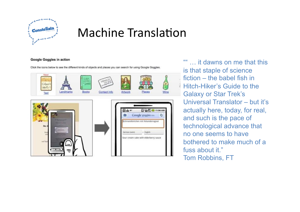

#### Machine Translation

#### **Google Goggles in action**

Click the icons below to see the different kinds of objects and places you can search for using Google Goggles.



"" it dawns on me that this is that staple of science fiction – the babel fish in Hitch-Hiker's Guide to the Galaxy or Star Trek's Universal Translator – but it's actually here, today, for real, and such is the pace of technological advance that no one seems to have bothered to make much of a fuss about it." Tom Robbins, FT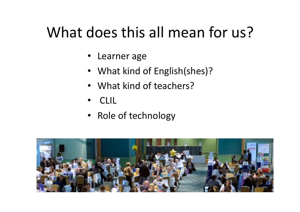# What does this all mean for us?

- Learner age
- What kind of English(shes)?
- What kind of teachers?
- )CLIL)
- Role of technology